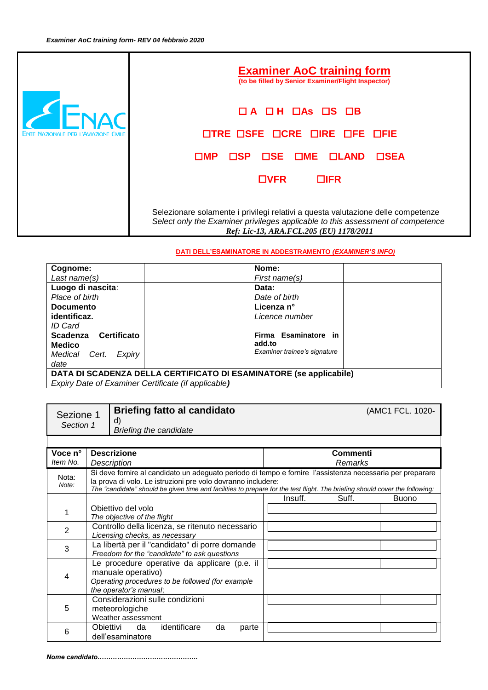|                                              | <b>Examiner AoC training form</b><br>(to be filled by Senior Examiner/Flight Inspector)                                                                                                                        |
|----------------------------------------------|----------------------------------------------------------------------------------------------------------------------------------------------------------------------------------------------------------------|
| <b>ENTE NAZIONALE PER L'AVIAZIONE CIVILE</b> | $\Box$ A $\Box$ H $\Box$ As $\Box$ S $\Box$ B<br>OTRE OSFE OCRE DIRE OFE OFIE                                                                                                                                  |
|                                              | <b>OSE OME OLAND</b><br>$\Box$ SP<br>$\square$ SEA<br>ΠMΡ.                                                                                                                                                     |
|                                              | <b>OVFR</b><br><b>OIFR</b>                                                                                                                                                                                     |
|                                              | Selezionare solamente i privilegi relativi a questa valutazione delle competenze<br>Select only the Examiner privileges applicable to this assessment of competence<br>Ref: Lic-13, ARA.FCL.205 (EU) 1178/2011 |

## **DATI DELL'ESAMINATORE IN ADDESTRAMENTO** *(EXAMINER'S INFO)*

| Cognome:                                                                   | Nome:                                                          |
|----------------------------------------------------------------------------|----------------------------------------------------------------|
| Last name(s)                                                               | First name(s)                                                  |
| Luogo di nascita:                                                          | Data:                                                          |
| Place of birth                                                             | Date of birth                                                  |
| <b>Documento</b>                                                           | Licenza n°                                                     |
| identificaz.                                                               | Licence number                                                 |
| ID Card                                                                    |                                                                |
| Certificato<br><b>Scadenza</b><br><b>Medico</b><br>Medical Cert.<br>Expiry | Firma Esaminatore in<br>add.to<br>Examiner trainee's signature |
| date                                                                       |                                                                |
| DATA DI SCADENZA DELLA CERTIFICATO DI ESAMINATORE (se applicabile)         |                                                                |
| Expiry Date of Examiner Certificate (if applicable)                        |                                                                |

| Sezione 1<br>Section 1 |                                                                                                                                                                                                                                                                                                           | d)                                | <b>Briefing fatto al candidato</b><br><b>Briefing the candidate</b>                            |       |  |  |         |                     | (AMC1 FCL. 1020- |
|------------------------|-----------------------------------------------------------------------------------------------------------------------------------------------------------------------------------------------------------------------------------------------------------------------------------------------------------|-----------------------------------|------------------------------------------------------------------------------------------------|-------|--|--|---------|---------------------|------------------|
|                        |                                                                                                                                                                                                                                                                                                           |                                   |                                                                                                |       |  |  |         |                     |                  |
| Voce n°<br>Item No.    |                                                                                                                                                                                                                                                                                                           | <b>Descrizione</b><br>Description |                                                                                                |       |  |  |         | Commenti<br>Remarks |                  |
| Nota:<br>Note:         | Si deve fornire al candidato un adeguato periodo di tempo e fornire l'assistenza necessaria per preparare<br>la prova di volo. Le istruzioni pre volo dovranno includere:<br>The "candidate" should be given time and facilities to prepare for the test flight. The briefing should cover the following: |                                   |                                                                                                |       |  |  |         |                     |                  |
|                        |                                                                                                                                                                                                                                                                                                           |                                   |                                                                                                |       |  |  | Insuff. | Suff.               | <b>Buono</b>     |
|                        | Obiettivo del volo<br>The objective of the flight                                                                                                                                                                                                                                                         |                                   |                                                                                                |       |  |  |         |                     |                  |
| 2                      |                                                                                                                                                                                                                                                                                                           |                                   | Controllo della licenza, se ritenuto necessario<br>Licensing checks, as necessary              |       |  |  |         |                     |                  |
| 3                      |                                                                                                                                                                                                                                                                                                           |                                   | La libertà per il "candidato" di porre domande<br>Freedom for the "candidate" to ask questions |       |  |  |         |                     |                  |
| 4                      | Le procedure operative da applicare (p.e. il<br>manuale operativo)<br>Operating procedures to be followed (for example<br>the operator's manual;                                                                                                                                                          |                                   |                                                                                                |       |  |  |         |                     |                  |
| 5                      | Considerazioni sulle condizioni<br>meteorologiche<br>Weather assessment                                                                                                                                                                                                                                   |                                   |                                                                                                |       |  |  |         |                     |                  |
| 6                      | identificare<br>da<br>Obiettivi<br>da<br>dell'esaminatore                                                                                                                                                                                                                                                 |                                   |                                                                                                | parte |  |  |         |                     |                  |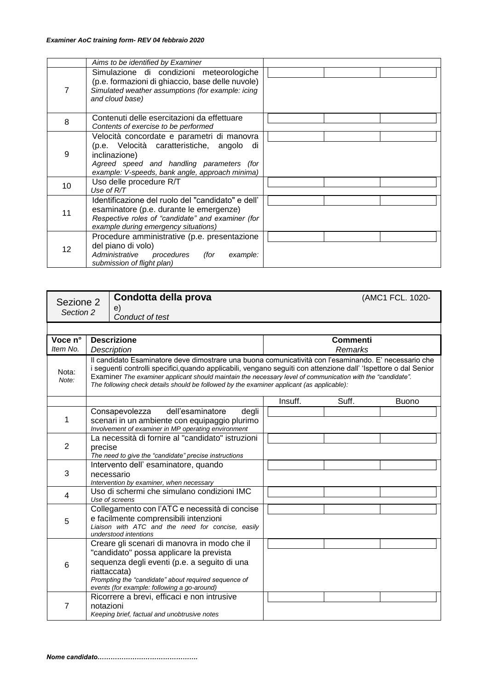|    | Aims to be identified by Examiner                                                                                                                                                                           |  |
|----|-------------------------------------------------------------------------------------------------------------------------------------------------------------------------------------------------------------|--|
|    | Simulazione di condizioni meteorologiche<br>(p.e. formazioni di ghiaccio, base delle nuvole)<br>Simulated weather assumptions (for example: icing<br>and cloud base)                                        |  |
| 8  | Contenuti delle esercitazioni da effettuare<br>Contents of exercise to be performed                                                                                                                         |  |
| 9  | Velocità concordate e parametri di manovra<br>(p.e. Velocità caratteristiche, angolo<br>di<br>inclinazione)<br>Agreed speed and handling parameters (for<br>example: V-speeds, bank angle, approach minima) |  |
| 10 | Uso delle procedure R/T<br>Use of $R/T$                                                                                                                                                                     |  |
| 11 | Identificazione del ruolo del "candidato" e dell'<br>esaminatore (p.e. durante le emergenze)<br>Respective roles of "candidate" and examiner (for<br>example during emergency situations)                   |  |
| 12 | Procedure amministrative (p.e. presentazione<br>del piano di volo)<br>Administrative<br>procedures<br>(for<br>example:<br>submission of flight plan)                                                        |  |

| Sezione 2<br>Section 2 |                                                                                                                                                                                                                                                                                                                                                                                                                                                     | Condotta della prova<br>e)<br>Conduct of test                                                                                                       |         |                            | (AMC1 FCL. 1020- |
|------------------------|-----------------------------------------------------------------------------------------------------------------------------------------------------------------------------------------------------------------------------------------------------------------------------------------------------------------------------------------------------------------------------------------------------------------------------------------------------|-----------------------------------------------------------------------------------------------------------------------------------------------------|---------|----------------------------|------------------|
|                        |                                                                                                                                                                                                                                                                                                                                                                                                                                                     |                                                                                                                                                     |         |                            |                  |
| Voce n°<br>Item No.    |                                                                                                                                                                                                                                                                                                                                                                                                                                                     | <b>Descrizione</b>                                                                                                                                  |         | <b>Commenti</b><br>Remarks |                  |
| Nota:<br>Note:         | Description<br>Il candidato Esaminatore deve dimostrare una buona comunicatività con l'esaminando. E' necessario che<br>i seguenti controlli specifici, quando applicabili, vengano seguiti con attenzione dall' 'Ispettore o dal Senior<br>Examiner The examiner applicant should maintain the necessary level of communication with the "candidate".<br>The following check details should be followed by the examiner applicant (as applicable): |                                                                                                                                                     |         |                            |                  |
|                        |                                                                                                                                                                                                                                                                                                                                                                                                                                                     |                                                                                                                                                     | Insuff. | Suff.                      | <b>Buono</b>     |
| 1                      |                                                                                                                                                                                                                                                                                                                                                                                                                                                     | dell'esaminatore<br>Consapevolezza<br>degli<br>scenari in un ambiente con equipaggio plurimo<br>Involvement of examiner in MP operating environment |         |                            |                  |
| 2                      | La necessità di fornire al "candidato" istruzioni<br>precise<br>The need to give the "candidate" precise instructions                                                                                                                                                                                                                                                                                                                               |                                                                                                                                                     |         |                            |                  |
| 3                      |                                                                                                                                                                                                                                                                                                                                                                                                                                                     | Intervento dell'esaminatore, quando<br>necessario<br>Intervention by examiner, when necessary                                                       |         |                            |                  |
| 4                      |                                                                                                                                                                                                                                                                                                                                                                                                                                                     | Uso di schermi che simulano condizioni IMC<br>Use of screens                                                                                        |         |                            |                  |
| 5                      | Collegamento con l'ATC e necessità di concise<br>e facilmente comprensibili intenzioni<br>Liaison with ATC and the need for concise, easily<br>understood intentions                                                                                                                                                                                                                                                                                |                                                                                                                                                     |         |                            |                  |
| 6                      | Creare gli scenari di manovra in modo che il<br>"candidato" possa applicare la prevista<br>sequenza degli eventi (p.e. a seguito di una<br>riattaccata)<br>Prompting the "candidate" about required sequence of<br>events (for example: following a go-around)<br>Ricorrere a brevi, efficaci e non intrusive<br>7<br>notazioni<br>Keeping brief, factual and unobtrusive notes                                                                     |                                                                                                                                                     |         |                            |                  |
|                        |                                                                                                                                                                                                                                                                                                                                                                                                                                                     |                                                                                                                                                     |         |                            |                  |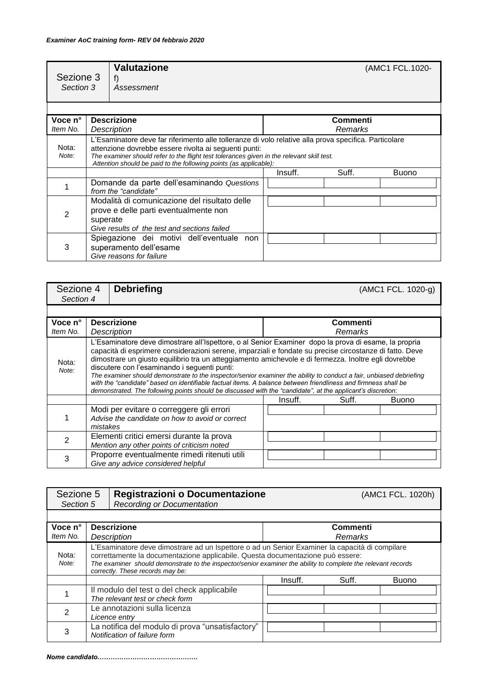| Sezione 3<br>Section 3 |                                                                                                                                                                                                                                                                                                                                  | <b>Valutazione</b><br>f)<br>Assessment |         |                     | (AMC1 FCL.1020- |
|------------------------|----------------------------------------------------------------------------------------------------------------------------------------------------------------------------------------------------------------------------------------------------------------------------------------------------------------------------------|----------------------------------------|---------|---------------------|-----------------|
|                        |                                                                                                                                                                                                                                                                                                                                  |                                        |         |                     |                 |
| Voce n°<br>Item No.    | <b>Descrizione</b><br>Description                                                                                                                                                                                                                                                                                                |                                        |         | Commenti<br>Remarks |                 |
| Nota:<br>Note:         | L'Esaminatore deve far riferimento alle tolleranze di volo relative alla prova specifica. Particolare<br>attenzione dovrebbe essere rivolta ai seguenti punti:<br>The examiner should refer to the flight test tolerances given in the relevant skill test.<br>Attention should be paid to the following points (as applicable): |                                        |         |                     |                 |
|                        |                                                                                                                                                                                                                                                                                                                                  |                                        | Insuff. | Suff.               | <b>Buono</b>    |
|                        | Domande da parte dell'esaminando Questions<br>from the "candidate"                                                                                                                                                                                                                                                               |                                        |         |                     |                 |
| 2                      | Modalità di comunicazione del risultato delle<br>prove e delle parti eventualmente non<br>superate<br>Give results of the test and sections failed                                                                                                                                                                               |                                        |         |                     |                 |
| 3                      | Spiegazione dei motivi dell'eventuale non<br>superamento dell'esame<br>Give reasons for failure                                                                                                                                                                                                                                  |                                        |         |                     |                 |

| Sezione 4<br>Section 4 |          | <b>Debriefing</b>                                                                                                                                                                                                                                                                                                                                                                                                                                                                                                                                                                                                                                                                                                               |         |          | (AMC1 FCL. 1020-g) |
|------------------------|----------|---------------------------------------------------------------------------------------------------------------------------------------------------------------------------------------------------------------------------------------------------------------------------------------------------------------------------------------------------------------------------------------------------------------------------------------------------------------------------------------------------------------------------------------------------------------------------------------------------------------------------------------------------------------------------------------------------------------------------------|---------|----------|--------------------|
|                        |          |                                                                                                                                                                                                                                                                                                                                                                                                                                                                                                                                                                                                                                                                                                                                 |         |          |                    |
| Voce n°                |          | <b>Descrizione</b>                                                                                                                                                                                                                                                                                                                                                                                                                                                                                                                                                                                                                                                                                                              |         | Commenti |                    |
| Item No.               |          | Description                                                                                                                                                                                                                                                                                                                                                                                                                                                                                                                                                                                                                                                                                                                     |         | Remarks  |                    |
| Nota:<br>Note:         |          | L'Esaminatore deve dimostrare all'Ispettore, o al Senior Examiner dopo la prova di esame, la propria<br>capacità di esprimere considerazioni serene, imparziali e fondate su precise circostanze di fatto. Deve<br>dimostrare un giusto equilibrio tra un atteggiamento amichevole e di fermezza. Inoltre egli dovrebbe<br>discutere con l'esaminando i seguenti punti:<br>The examiner should demonstrate to the inspector/senior examiner the ability to conduct a fair, unbiased debriefing<br>with the "candidate" based on identifiable factual items. A balance between friendliness and firmness shall be<br>demonstrated. The following points should be discussed with the "candidate", at the applicant's discretion: |         |          |                    |
|                        |          |                                                                                                                                                                                                                                                                                                                                                                                                                                                                                                                                                                                                                                                                                                                                 | Insuff. | Suff.    | <b>Buono</b>       |
|                        | mistakes | Modi per evitare o correggere gli errori<br>Advise the candidate on how to avoid or correct                                                                                                                                                                                                                                                                                                                                                                                                                                                                                                                                                                                                                                     |         |          |                    |
| 2                      |          | Elementi critici emersi durante la prova<br>Mention any other points of criticism noted                                                                                                                                                                                                                                                                                                                                                                                                                                                                                                                                                                                                                                         |         |          |                    |
| 3                      |          | Proporre eventualmente rimedi ritenuti utili<br>Give any advice considered helpful                                                                                                                                                                                                                                                                                                                                                                                                                                                                                                                                                                                                                                              |         |          |                    |

| Sezione 5<br>Section 5 |                                                                                                                                                                                                                                                                                                                                       | Registrazioni o Documentazione<br>Recording or Documentation |                     |       | (AMC1 FCL. 1020h) |  |  |  |
|------------------------|---------------------------------------------------------------------------------------------------------------------------------------------------------------------------------------------------------------------------------------------------------------------------------------------------------------------------------------|--------------------------------------------------------------|---------------------|-------|-------------------|--|--|--|
|                        |                                                                                                                                                                                                                                                                                                                                       |                                                              |                     |       |                   |  |  |  |
| Voce n°<br>Item No.    | <b>Descrizione</b><br><b>Description</b>                                                                                                                                                                                                                                                                                              |                                                              | Commenti<br>Remarks |       |                   |  |  |  |
| Nota:<br>Note:         | L'Esaminatore deve dimostrare ad un Ispettore o ad un Senior Examiner la capacità di compilare<br>correttamente la documentazione applicabile. Questa documentazione può essere:<br>The examiner should demonstrate to the inspector/senior examiner the ability to complete the relevant records<br>correctly. These records may be: |                                                              |                     |       |                   |  |  |  |
|                        |                                                                                                                                                                                                                                                                                                                                       |                                                              | Insuff.             | Suff. | <b>Buono</b>      |  |  |  |
|                        | Il modulo del test o del check applicabile<br>The relevant test or check form                                                                                                                                                                                                                                                         |                                                              |                     |       |                   |  |  |  |
| 2                      | Le annotazioni sulla licenza<br>Licence entry                                                                                                                                                                                                                                                                                         |                                                              |                     |       |                   |  |  |  |
| 3                      | La notifica del modulo di prova "unsatisfactory"<br>Notification of failure form                                                                                                                                                                                                                                                      |                                                              |                     |       |                   |  |  |  |